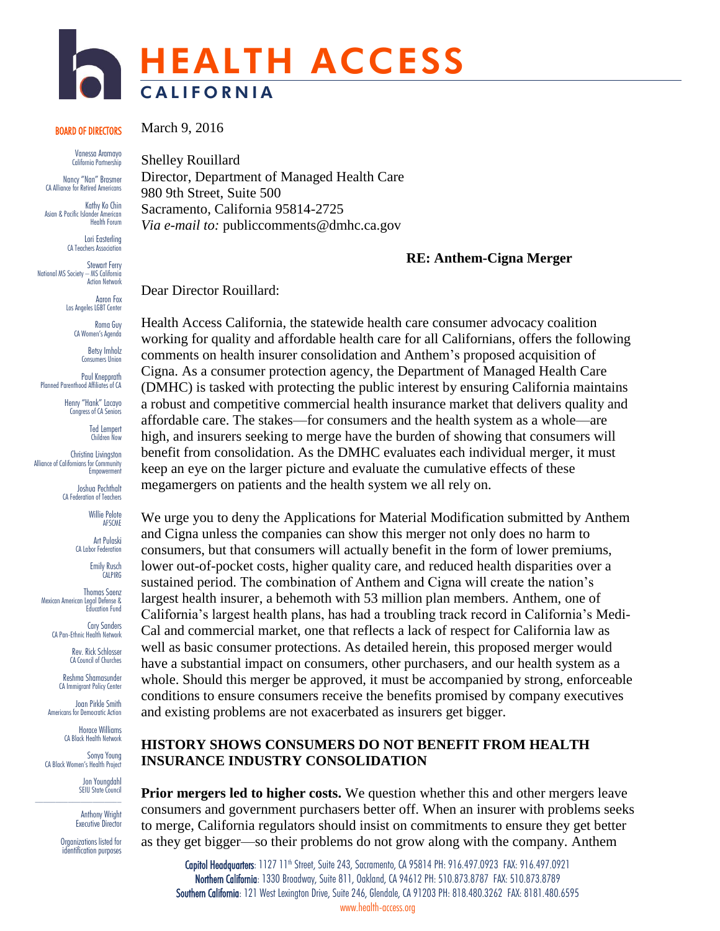# HEALTH ACCESS **CALIFORNIA**

#### BOARD OF DIRECTORS

Vanessa Aramayo California Partnership

Nancy "Nan" Brasmer CA Alliance for Retired Americans

Kathy Ko Chin Asian & Pacific Islander American Health Forum

> Lori Easterling CA Teachers Association

Stewart Ferry National MS Society – MS California Action Network

> Aaron Fox Los Angeles LGBT Center

> > Roma Guy CA Women's Agenda

Betsy Imholz Consumers Union

Paul Knepprath Planned Parenthood Affiliates of CA

> Henry "Hank" Lacayo Congress of CA Seniors

> > Ted Lempert Children Now

Christina Livingston Alliance of Californians for Community **Empowerment** 

> Joshua Pechthalt CA Federation of Teachers

> > Willie Pelote AFSCME

Art Pulaski CA Labor Federation

> Emily Rusch CALPIRG

Thomas Saenz Mexican American Legal Defense & Education Fund

> Cary Sanders CA Pan-Ethnic Health Network

> > Rev. Rick Schlosser CA Council of Churches

Reshma Shamasunder CA Immigrant Policy Center

Joan Pirkle Smith Americans for Democratic Action

Horace Williams CA Black Health Network

Sonya Young CA Black Women's Health Project

Jon Youngdahl SEIU State Council

Anthony Wright Executive Director

Organizations listed for identification purposes March 9, 2016

Shelley Rouillard Director, Department of Managed Health Care 980 9th Street, Suite 500 Sacramento, California 95814-2725 *Via e-mail to:* publiccomments@dmhc.ca.gov

#### **RE: Anthem-Cigna Merger**

Dear Director Rouillard:

Health Access California, the statewide health care consumer advocacy coalition working for quality and affordable health care for all Californians, offers the following comments on health insurer consolidation and Anthem's proposed acquisition of Cigna. As a consumer protection agency, the Department of Managed Health Care (DMHC) is tasked with protecting the public interest by ensuring California maintains a robust and competitive commercial health insurance market that delivers quality and affordable care. The stakes—for consumers and the health system as a whole—are high, and insurers seeking to merge have the burden of showing that consumers will benefit from consolidation. As the DMHC evaluates each individual merger, it must keep an eye on the larger picture and evaluate the cumulative effects of these megamergers on patients and the health system we all rely on.

We urge you to deny the Applications for Material Modification submitted by Anthem and Cigna unless the companies can show this merger not only does no harm to consumers, but that consumers will actually benefit in the form of lower premiums, lower out-of-pocket costs, higher quality care, and reduced health disparities over a sustained period. The combination of Anthem and Cigna will create the nation's largest health insurer, a behemoth with 53 million plan members. Anthem, one of California's largest health plans, has had a troubling track record in California's Medi-Cal and commercial market, one that reflects a lack of respect for California law as well as basic consumer protections. As detailed herein, this proposed merger would have a substantial impact on consumers, other purchasers, and our health system as a whole. Should this merger be approved, it must be accompanied by strong, enforceable conditions to ensure consumers receive the benefits promised by company executives and existing problems are not exacerbated as insurers get bigger.

### **HISTORY SHOWS CONSUMERS DO NOT BENEFIT FROM HEALTH INSURANCE INDUSTRY CONSOLIDATION**

**Prior mergers led to higher costs.** We question whether this and other mergers leave consumers and government purchasers better off. When an insurer with problems seeks to merge, California regulators should insist on commitments to ensure they get better as they get bigger—so their problems do not grow along with the company. Anthem

Capitol Headquarters: 1127 11<sup>th</sup> Street, Suite 243, Sacramento, CA 95814 PH: 916.497.0923 FAX: 916.497.0921 Northern California: 1330 Broadway, Suite 811, Oakland, CA 94612 PH: 510.873.8787 FAX: 510.873.8789 Southern California: 121 West Lexington Drive, Suite 246, Glendale, CA 91203 PH: 818.480.3262 FAX: 8181.480.6595 www.health-access.org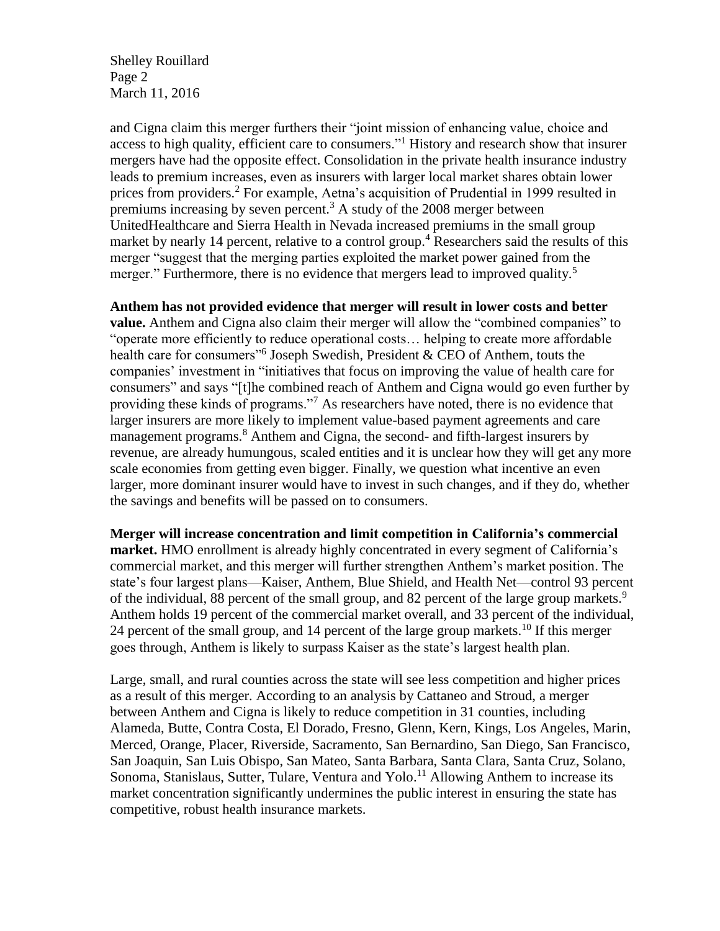Shelley Rouillard Page 2 March 11, 2016

and Cigna claim this merger furthers their "joint mission of enhancing value, choice and access to high quality, efficient care to consumers."<sup>1</sup> History and research show that insurer mergers have had the opposite effect. Consolidation in the private health insurance industry leads to premium increases, even as insurers with larger local market shares obtain lower prices from providers.<sup>2</sup> For example, Aetna's acquisition of Prudential in 1999 resulted in premiums increasing by seven percent.<sup>3</sup> A study of the  $2008$  merger between UnitedHealthcare and Sierra Health in Nevada increased premiums in the small group market by nearly 14 percent, relative to a control group.<sup>4</sup> Researchers said the results of this merger "suggest that the merging parties exploited the market power gained from the merger." Furthermore, there is no evidence that mergers lead to improved quality.<sup>5</sup>

#### **Anthem has not provided evidence that merger will result in lower costs and better**

**value.** Anthem and Cigna also claim their merger will allow the "combined companies" to "operate more efficiently to reduce operational costs… helping to create more affordable health care for consumers"<sup>6</sup> Joseph Swedish, President & CEO of Anthem, touts the companies' investment in "initiatives that focus on improving the value of health care for consumers" and says "[t]he combined reach of Anthem and Cigna would go even further by providing these kinds of programs."<sup>7</sup> As researchers have noted, there is no evidence that larger insurers are more likely to implement value-based payment agreements and care management programs.<sup>8</sup> Anthem and Cigna, the second- and fifth-largest insurers by revenue, are already humungous, scaled entities and it is unclear how they will get any more scale economies from getting even bigger. Finally, we question what incentive an even larger, more dominant insurer would have to invest in such changes, and if they do, whether the savings and benefits will be passed on to consumers.

**Merger will increase concentration and limit competition in California's commercial market.** HMO enrollment is already highly concentrated in every segment of California's commercial market, and this merger will further strengthen Anthem's market position. The state's four largest plans—Kaiser, Anthem, Blue Shield, and Health Net—control 93 percent of the individual, 88 percent of the small group, and 82 percent of the large group markets.<sup>9</sup> Anthem holds 19 percent of the commercial market overall, and 33 percent of the individual, 24 percent of the small group, and 14 percent of the large group markets.<sup>10</sup> If this merger goes through, Anthem is likely to surpass Kaiser as the state's largest health plan.

Large, small, and rural counties across the state will see less competition and higher prices as a result of this merger. According to an analysis by Cattaneo and Stroud, a merger between Anthem and Cigna is likely to reduce competition in 31 counties, including Alameda, Butte, Contra Costa, El Dorado, Fresno, Glenn, Kern, Kings, Los Angeles, Marin, Merced, Orange, Placer, Riverside, Sacramento, San Bernardino, San Diego, San Francisco, San Joaquin, San Luis Obispo, San Mateo, Santa Barbara, Santa Clara, Santa Cruz, Solano, Sonoma, Stanislaus, Sutter, Tulare, Ventura and Yolo.<sup>11</sup> Allowing Anthem to increase its market concentration significantly undermines the public interest in ensuring the state has competitive, robust health insurance markets.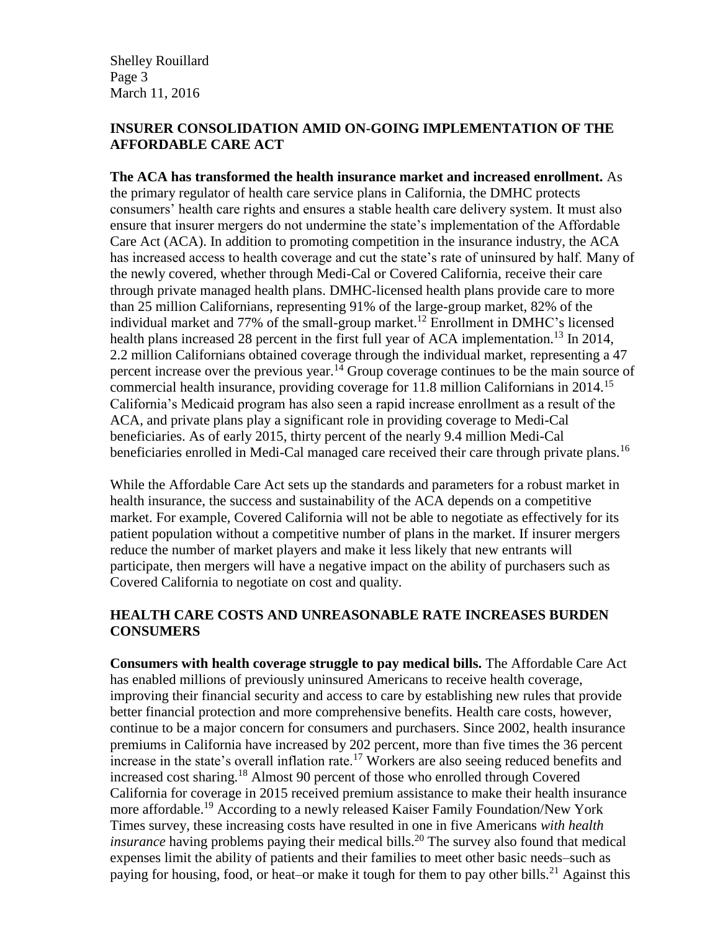Shelley Rouillard Page 3 March 11, 2016

#### **INSURER CONSOLIDATION AMID ON-GOING IMPLEMENTATION OF THE AFFORDABLE CARE ACT**

**The ACA has transformed the health insurance market and increased enrollment.** As the primary regulator of health care service plans in California, the DMHC protects consumers' health care rights and ensures a stable health care delivery system. It must also ensure that insurer mergers do not undermine the state's implementation of the Affordable Care Act (ACA). In addition to promoting competition in the insurance industry, the ACA has increased access to health coverage and cut the state's rate of uninsured by half. Many of the newly covered, whether through Medi-Cal or Covered California, receive their care through private managed health plans. DMHC-licensed health plans provide care to more than 25 million Californians, representing 91% of the large-group market, 82% of the individual market and 77% of the small-group market.<sup>12</sup> Enrollment in DMHC's licensed health plans increased 28 percent in the first full year of ACA implementation.<sup>13</sup> In 2014, 2.2 million Californians obtained coverage through the individual market, representing a 47 percent increase over the previous year.<sup>14</sup> Group coverage continues to be the main source of commercial health insurance, providing coverage for 11.8 million Californians in 2014.<sup>15</sup> California's Medicaid program has also seen a rapid increase enrollment as a result of the ACA, and private plans play a significant role in providing coverage to Medi-Cal beneficiaries. As of early 2015, thirty percent of the nearly 9.4 million Medi-Cal beneficiaries enrolled in Medi-Cal managed care received their care through private plans.<sup>16</sup>

While the Affordable Care Act sets up the standards and parameters for a robust market in health insurance, the success and sustainability of the ACA depends on a competitive market. For example, Covered California will not be able to negotiate as effectively for its patient population without a competitive number of plans in the market. If insurer mergers reduce the number of market players and make it less likely that new entrants will participate, then mergers will have a negative impact on the ability of purchasers such as Covered California to negotiate on cost and quality.

# **HEALTH CARE COSTS AND UNREASONABLE RATE INCREASES BURDEN CONSUMERS**

**Consumers with health coverage struggle to pay medical bills.** The Affordable Care Act has enabled millions of previously uninsured Americans to receive health coverage, improving their financial security and access to care by establishing new rules that provide better financial protection and more comprehensive benefits. Health care costs, however, continue to be a major concern for consumers and purchasers. Since 2002, health insurance premiums in California have increased by 202 percent, more than five times the 36 percent increase in the state's overall inflation rate.<sup>17</sup> Workers are also seeing reduced benefits and increased cost sharing.<sup>18</sup> Almost 90 percent of those who enrolled through Covered California for coverage in 2015 received premium assistance to make their health insurance more affordable.<sup>19</sup> According to a newly released Kaiser Family Foundation/New York Times survey, these increasing costs have resulted in one in five Americans *with health insurance* having problems paying their medical bills.<sup>20</sup> The survey also found that medical expenses limit the ability of patients and their families to meet other basic needs–such as paying for housing, food, or heat–or make it tough for them to pay other bills.<sup>21</sup> Against this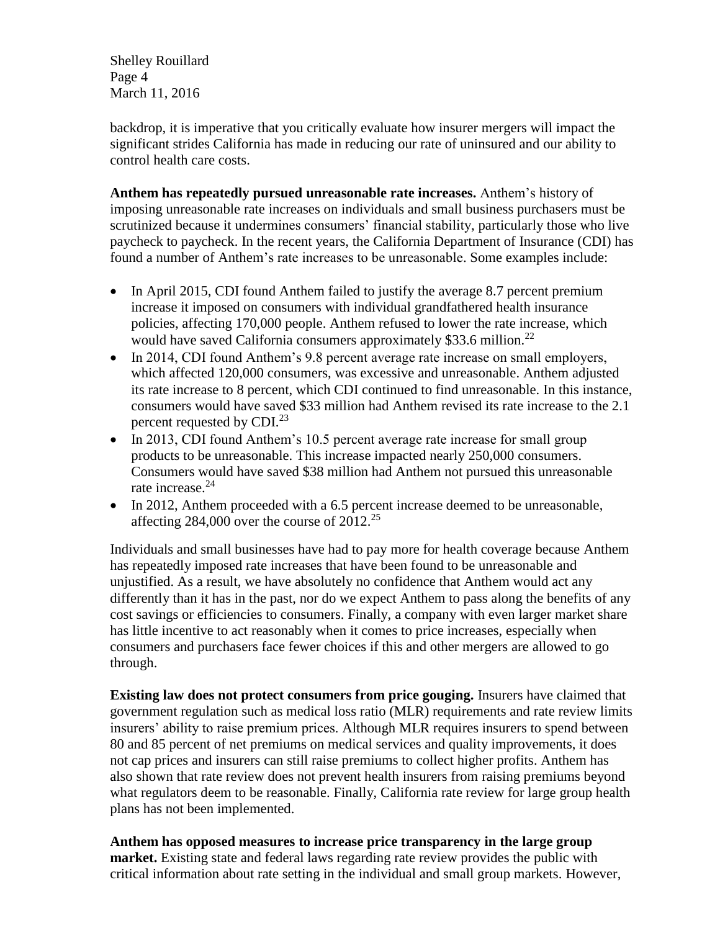Shelley Rouillard Page 4 March 11, 2016

backdrop, it is imperative that you critically evaluate how insurer mergers will impact the significant strides California has made in reducing our rate of uninsured and our ability to control health care costs.

**Anthem has repeatedly pursued unreasonable rate increases.** Anthem's history of imposing unreasonable rate increases on individuals and small business purchasers must be scrutinized because it undermines consumers' financial stability, particularly those who live paycheck to paycheck. In the recent years, the California Department of Insurance (CDI) has found a number of Anthem's rate increases to be unreasonable. Some examples include:

- In April 2015, CDI found Anthem failed to justify the average 8.7 percent premium increase it imposed on consumers with individual grandfathered health insurance policies, affecting 170,000 people. Anthem refused to lower the rate increase, which would have saved California consumers approximately \$33.6 million.<sup>22</sup>
- In 2014, CDI found Anthem's 9.8 percent average rate increase on small employers, which affected 120,000 consumers, was excessive and unreasonable. Anthem adjusted its rate increase to 8 percent, which CDI continued to find unreasonable. In this instance, consumers would have saved \$33 million had Anthem revised its rate increase to the 2.1 percent requested by CDI.<sup>23</sup>
- In 2013, CDI found Anthem's 10.5 percent average rate increase for small group products to be unreasonable. This increase impacted nearly 250,000 consumers. Consumers would have saved \$38 million had Anthem not pursued this unreasonable rate increase.<sup>24</sup>
- In 2012, Anthem proceeded with a 6.5 percent increase deemed to be unreasonable, affecting  $284,000$  over the course of  $2012^{25}$

Individuals and small businesses have had to pay more for health coverage because Anthem has repeatedly imposed rate increases that have been found to be unreasonable and unjustified. As a result, we have absolutely no confidence that Anthem would act any differently than it has in the past, nor do we expect Anthem to pass along the benefits of any cost savings or efficiencies to consumers. Finally, a company with even larger market share has little incentive to act reasonably when it comes to price increases, especially when consumers and purchasers face fewer choices if this and other mergers are allowed to go through.

**Existing law does not protect consumers from price gouging.** Insurers have claimed that government regulation such as medical loss ratio (MLR) requirements and rate review limits insurers' ability to raise premium prices. Although MLR requires insurers to spend between 80 and 85 percent of net premiums on medical services and quality improvements, it does not cap prices and insurers can still raise premiums to collect higher profits. Anthem has also shown that rate review does not prevent health insurers from raising premiums beyond what regulators deem to be reasonable. Finally, California rate review for large group health plans has not been implemented.

**Anthem has opposed measures to increase price transparency in the large group market.** Existing state and federal laws regarding rate review provides the public with critical information about rate setting in the individual and small group markets. However,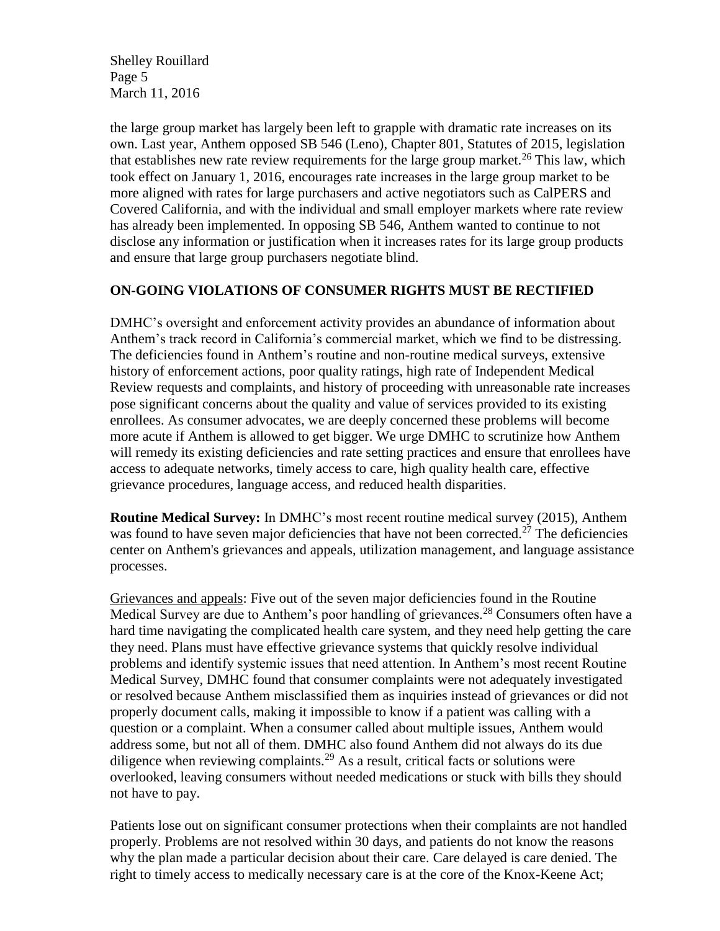Shelley Rouillard Page 5 March 11, 2016

the large group market has largely been left to grapple with dramatic rate increases on its own. Last year, Anthem opposed SB 546 (Leno), Chapter 801, Statutes of 2015, legislation that establishes new rate review requirements for the large group market.<sup>26</sup> This law, which took effect on January 1, 2016, encourages rate increases in the large group market to be more aligned with rates for large purchasers and active negotiators such as CalPERS and Covered California, and with the individual and small employer markets where rate review has already been implemented. In opposing SB 546, Anthem wanted to continue to not disclose any information or justification when it increases rates for its large group products and ensure that large group purchasers negotiate blind.

## **ON-GOING VIOLATIONS OF CONSUMER RIGHTS MUST BE RECTIFIED**

DMHC's oversight and enforcement activity provides an abundance of information about Anthem's track record in California's commercial market, which we find to be distressing. The deficiencies found in Anthem's routine and non-routine medical surveys, extensive history of enforcement actions, poor quality ratings, high rate of Independent Medical Review requests and complaints, and history of proceeding with unreasonable rate increases pose significant concerns about the quality and value of services provided to its existing enrollees. As consumer advocates, we are deeply concerned these problems will become more acute if Anthem is allowed to get bigger. We urge DMHC to scrutinize how Anthem will remedy its existing deficiencies and rate setting practices and ensure that enrollees have access to adequate networks, timely access to care, high quality health care, effective grievance procedures, language access, and reduced health disparities.

**Routine Medical Survey:** In DMHC's most recent routine medical survey (2015), Anthem was found to have seven major deficiencies that have not been corrected.<sup>27</sup> The deficiencies center on Anthem's grievances and appeals, utilization management, and language assistance processes.

Grievances and appeals: Five out of the seven major deficiencies found in the Routine Medical Survey are due to Anthem's poor handling of grievances.<sup>28</sup> Consumers often have a hard time navigating the complicated health care system, and they need help getting the care they need. Plans must have effective grievance systems that quickly resolve individual problems and identify systemic issues that need attention. In Anthem's most recent Routine Medical Survey, DMHC found that consumer complaints were not adequately investigated or resolved because Anthem misclassified them as inquiries instead of grievances or did not properly document calls, making it impossible to know if a patient was calling with a question or a complaint. When a consumer called about multiple issues, Anthem would address some, but not all of them. DMHC also found Anthem did not always do its due diligence when reviewing complaints.<sup>29</sup> As a result, critical facts or solutions were overlooked, leaving consumers without needed medications or stuck with bills they should not have to pay.

Patients lose out on significant consumer protections when their complaints are not handled properly. Problems are not resolved within 30 days, and patients do not know the reasons why the plan made a particular decision about their care. Care delayed is care denied. The right to timely access to medically necessary care is at the core of the Knox-Keene Act;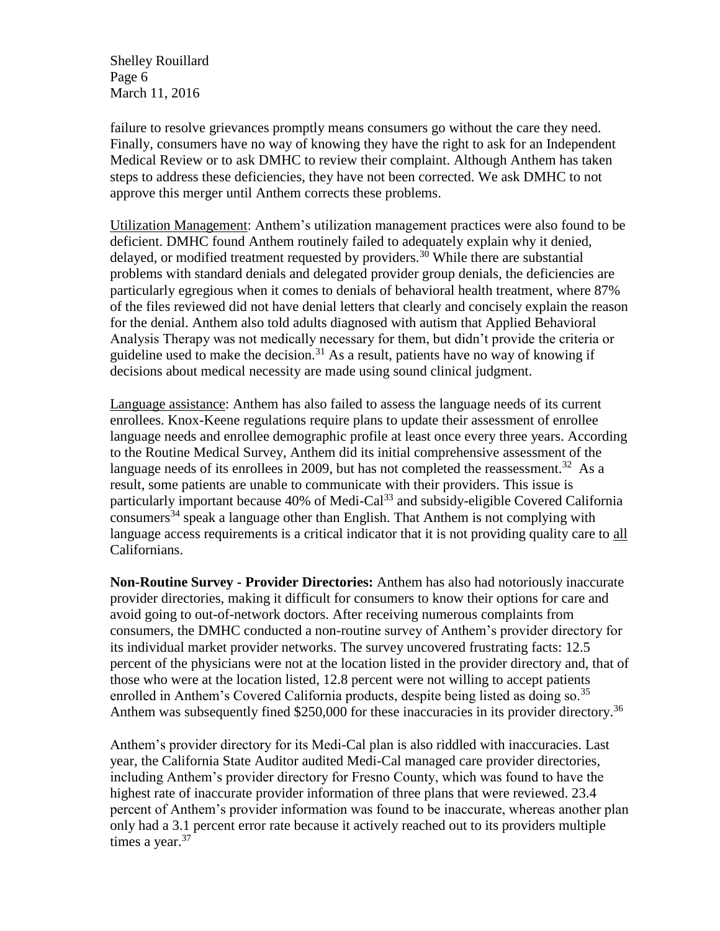Shelley Rouillard Page 6 March 11, 2016

failure to resolve grievances promptly means consumers go without the care they need. Finally, consumers have no way of knowing they have the right to ask for an Independent Medical Review or to ask DMHC to review their complaint. Although Anthem has taken steps to address these deficiencies, they have not been corrected. We ask DMHC to not approve this merger until Anthem corrects these problems.

Utilization Management: Anthem's utilization management practices were also found to be deficient. DMHC found Anthem routinely failed to adequately explain why it denied, delayed, or modified treatment requested by providers.<sup>30</sup> While there are substantial problems with standard denials and delegated provider group denials, the deficiencies are particularly egregious when it comes to denials of behavioral health treatment, where 87% of the files reviewed did not have denial letters that clearly and concisely explain the reason for the denial. Anthem also told adults diagnosed with autism that Applied Behavioral Analysis Therapy was not medically necessary for them, but didn't provide the criteria or guideline used to make the decision.<sup>31</sup> As a result, patients have no way of knowing if decisions about medical necessity are made using sound clinical judgment.

Language assistance: Anthem has also failed to assess the language needs of its current enrollees. Knox-Keene regulations require plans to update their assessment of enrollee language needs and enrollee demographic profile at least once every three years. According to the Routine Medical Survey, Anthem did its initial comprehensive assessment of the language needs of its enrollees in 2009, but has not completed the reassessment.<sup>32</sup> As a result, some patients are unable to communicate with their providers. This issue is particularly important because 40% of Medi-Cal<sup>33</sup> and subsidy-eligible Covered California consumers<sup>34</sup> speak a language other than English. That Anthem is not complying with language access requirements is a critical indicator that it is not providing quality care to all Californians.

**Non-Routine Survey - Provider Directories:** Anthem has also had notoriously inaccurate provider directories, making it difficult for consumers to know their options for care and avoid going to out-of-network doctors. After receiving numerous complaints from consumers, the DMHC conducted a non-routine survey of Anthem's provider directory for its individual market provider networks. The survey uncovered frustrating facts: 12.5 percent of the physicians were not at the location listed in the provider directory and, that of those who were at the location listed, 12.8 percent were not willing to accept patients enrolled in Anthem's Covered California products, despite being listed as doing so.<sup>35</sup> Anthem was subsequently fined \$250,000 for these inaccuracies in its provider directory.<sup>36</sup>

Anthem's provider directory for its Medi-Cal plan is also riddled with inaccuracies. Last year, the California State Auditor audited Medi-Cal managed care provider directories, including Anthem's provider directory for Fresno County, which was found to have the highest rate of inaccurate provider information of three plans that were reviewed. 23.4 percent of Anthem's provider information was found to be inaccurate, whereas another plan only had a 3.1 percent error rate because it actively reached out to its providers multiple times a year. $37$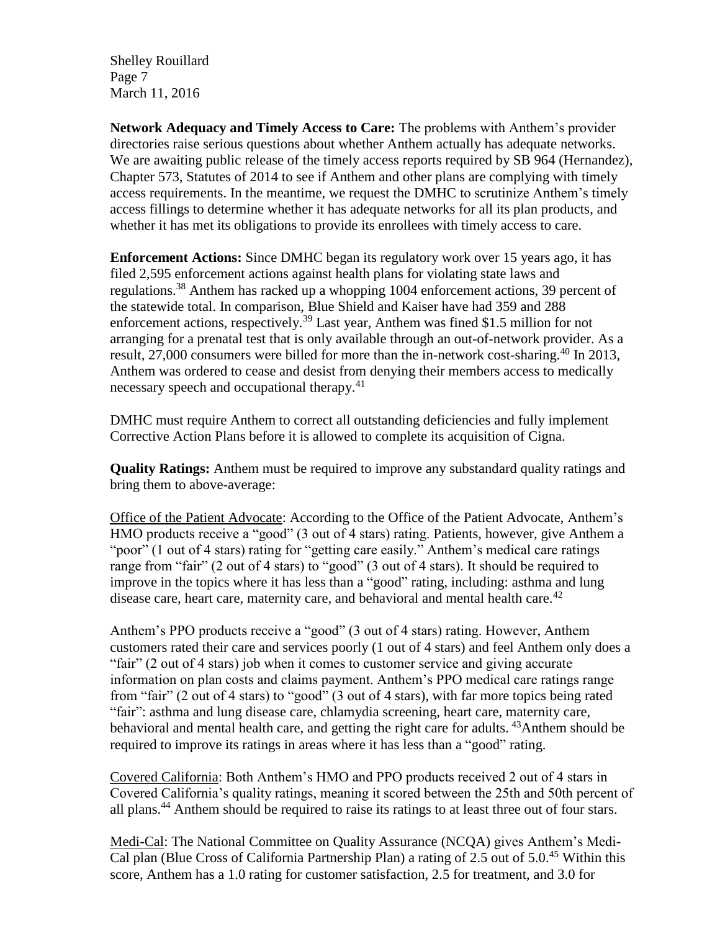Shelley Rouillard Page 7 March 11, 2016

**Network Adequacy and Timely Access to Care:** The problems with Anthem's provider directories raise serious questions about whether Anthem actually has adequate networks. We are awaiting public release of the timely access reports required by SB 964 (Hernandez), Chapter 573, Statutes of 2014 to see if Anthem and other plans are complying with timely access requirements. In the meantime, we request the DMHC to scrutinize Anthem's timely access fillings to determine whether it has adequate networks for all its plan products, and whether it has met its obligations to provide its enrollees with timely access to care.

**Enforcement Actions:** Since DMHC began its regulatory work over 15 years ago, it has filed 2,595 enforcement actions against health plans for violating state laws and regulations.<sup>38</sup> Anthem has racked up a whopping 1004 enforcement actions, 39 percent of the statewide total. In comparison, Blue Shield and Kaiser have had 359 and 288 enforcement actions, respectively.<sup>39</sup> Last year, Anthem was fined \$1.5 million for not arranging for a prenatal test that is only available through an out-of-network provider. As a result, 27,000 consumers were billed for more than the in-network cost-sharing.<sup>40</sup> In 2013, Anthem was ordered to cease and desist from denying their members access to medically necessary speech and occupational therapy.<sup>41</sup>

DMHC must require Anthem to correct all outstanding deficiencies and fully implement Corrective Action Plans before it is allowed to complete its acquisition of Cigna.

**Quality Ratings:** Anthem must be required to improve any substandard quality ratings and bring them to above-average:

Office of the Patient Advocate: According to the Office of the Patient Advocate, Anthem's HMO products receive a "good" (3 out of 4 stars) rating. Patients, however, give Anthem a "poor" (1 out of 4 stars) rating for "getting care easily." Anthem's medical care ratings range from "fair" (2 out of 4 stars) to "good" (3 out of 4 stars). It should be required to improve in the topics where it has less than a "good" rating, including: asthma and lung disease care, heart care, maternity care, and behavioral and mental health care.<sup>42</sup>

Anthem's PPO products receive a "good" (3 out of 4 stars) rating. However, Anthem customers rated their care and services poorly (1 out of 4 stars) and feel Anthem only does a "fair" (2 out of 4 stars) job when it comes to customer service and giving accurate information on plan costs and claims payment. Anthem's PPO medical care ratings range from "fair" (2 out of 4 stars) to "good" (3 out of 4 stars), with far more topics being rated "fair": asthma and lung disease care, chlamydia screening, heart care, maternity care, behavioral and mental health care, and getting the right care for adults.  $43$ Anthem should be required to improve its ratings in areas where it has less than a "good" rating.

Covered California: Both Anthem's HMO and PPO products received 2 out of 4 stars in Covered California's quality ratings, meaning it scored between the 25th and 50th percent of all plans.<sup>44</sup> Anthem should be required to raise its ratings to at least three out of four stars.

Medi-Cal: The National Committee on Quality Assurance (NCQA) gives Anthem's Medi-Cal plan (Blue Cross of California Partnership Plan) a rating of 2.5 out of 5.0.<sup>45</sup> Within this score, Anthem has a 1.0 rating for customer satisfaction, 2.5 for treatment, and 3.0 for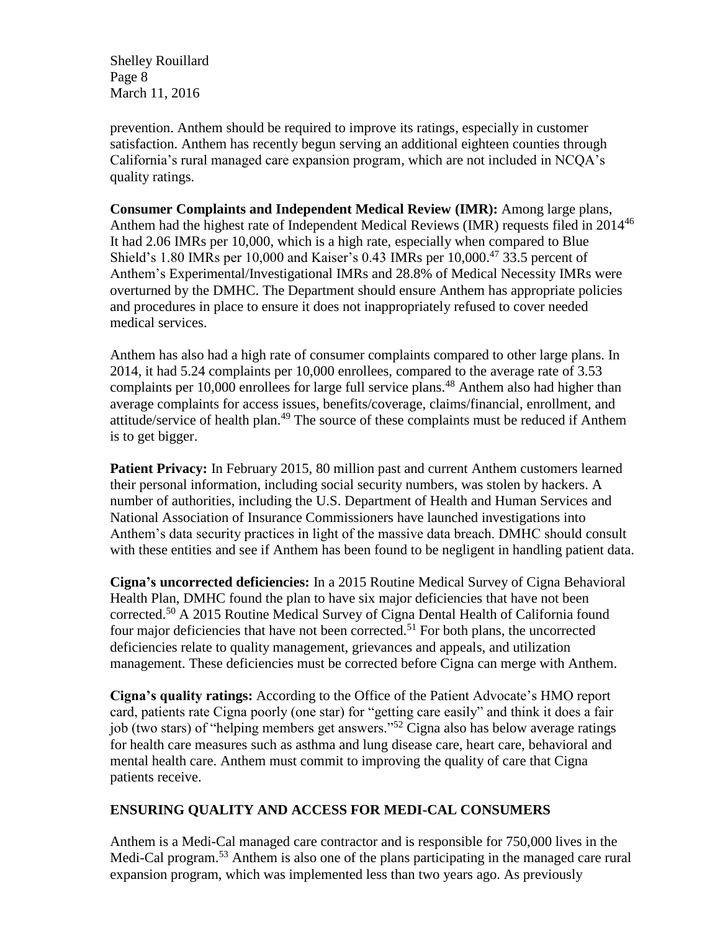Shelley Rouillard Page 8 March 11, 2016

prevention. Anthem should be required to improve its ratings, especially in customer satisfaction. Anthem has recently begun serving an additional eighteen counties through California's rural managed care expansion program, which are not included in NCQA's quality ratings.

**Consumer Complaints and Independent Medical Review (IMR):** Among large plans, Anthem had the highest rate of Independent Medical Reviews (IMR) requests filed in 2014<sup>46</sup> It had 2.06 IMRs per 10,000, which is a high rate, especially when compared to Blue Shield's 1.80 IMRs per 10,000 and Kaiser's 0.43 IMRs per  $10,000$ <sup>47</sup> 33.5 percent of Anthem's Experimental/Investigational IMRs and 28.8% of Medical Necessity IMRs were overturned by the DMHC. The Department should ensure Anthem has appropriate policies and procedures in place to ensure it does not inappropriately refused to cover needed medical services.

Anthem has also had a high rate of consumer complaints compared to other large plans. In 2014, it had 5.24 complaints per 10,000 enrollees, compared to the average rate of 3.53 complaints per 10,000 enrollees for large full service plans.<sup>48</sup> Anthem also had higher than average complaints for access issues, benefits/coverage, claims/financial, enrollment, and attitude/service of health plan.<sup>49</sup> The source of these complaints must be reduced if Anthem is to get bigger.

**Patient Privacy:** In February 2015, 80 million past and current Anthem customers learned their personal information, including social security numbers, was stolen by hackers. A number of authorities, including the U.S. Department of Health and Human Services and National Association of Insurance Commissioners have launched investigations into Anthem's data security practices in light of the massive data breach. DMHC should consult with these entities and see if Anthem has been found to be negligent in handling patient data.

**Cigna's uncorrected deficiencies:** In a 2015 Routine Medical Survey of Cigna Behavioral Health Plan, DMHC found the plan to have six major deficiencies that have not been corrected.<sup>50</sup> A 2015 Routine Medical Survey of Cigna Dental Health of California found four major deficiencies that have not been corrected.<sup>51</sup> For both plans, the uncorrected deficiencies relate to quality management, grievances and appeals, and utilization management. These deficiencies must be corrected before Cigna can merge with Anthem.

**Cigna's quality ratings:** According to the Office of the Patient Advocate's HMO report card, patients rate Cigna poorly (one star) for "getting care easily" and think it does a fair job (two stars) of "helping members get answers."<sup>52</sup> Cigna also has below average ratings for health care measures such as asthma and lung disease care, heart care, behavioral and mental health care. Anthem must commit to improving the quality of care that Cigna patients receive.

### **ENSURING QUALITY AND ACCESS FOR MEDI-CAL CONSUMERS**

Anthem is a Medi-Cal managed care contractor and is responsible for 750,000 lives in the Medi-Cal program.<sup>53</sup> Anthem is also one of the plans participating in the managed care rural expansion program, which was implemented less than two years ago. As previously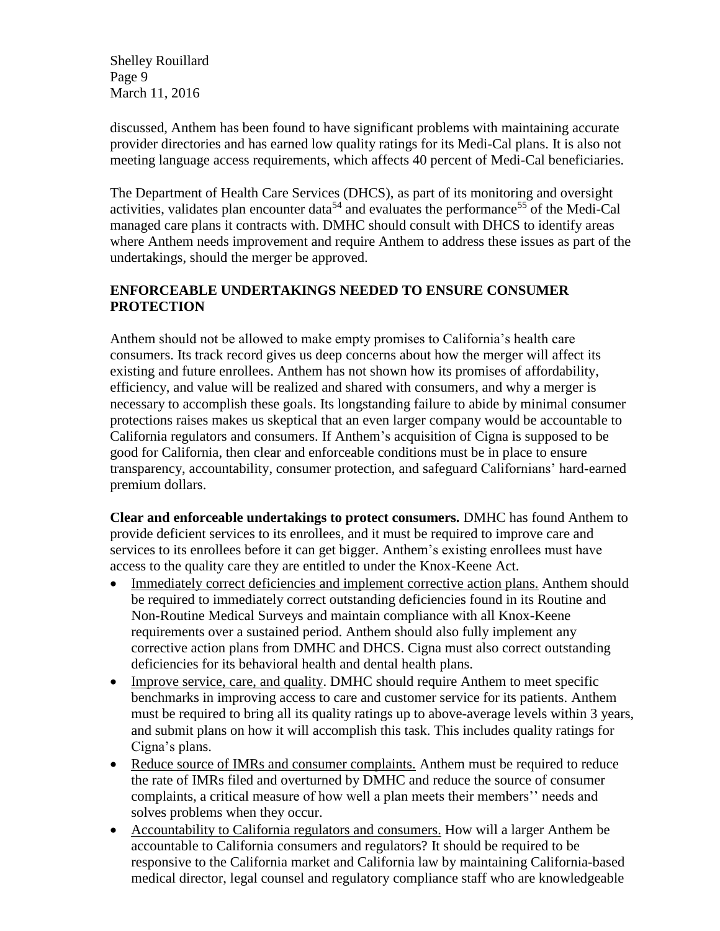Shelley Rouillard Page 9 March 11, 2016

discussed, Anthem has been found to have significant problems with maintaining accurate provider directories and has earned low quality ratings for its Medi-Cal plans. It is also not meeting language access requirements, which affects 40 percent of Medi-Cal beneficiaries.

The Department of Health Care Services (DHCS), as part of its monitoring and oversight activities, validates plan encounter data<sup>54</sup> and evaluates the performance<sup>55</sup> of the Medi-Cal managed care plans it contracts with. DMHC should consult with DHCS to identify areas where Anthem needs improvement and require Anthem to address these issues as part of the undertakings, should the merger be approved.

### **ENFORCEABLE UNDERTAKINGS NEEDED TO ENSURE CONSUMER PROTECTION**

Anthem should not be allowed to make empty promises to California's health care consumers. Its track record gives us deep concerns about how the merger will affect its existing and future enrollees. Anthem has not shown how its promises of affordability, efficiency, and value will be realized and shared with consumers, and why a merger is necessary to accomplish these goals. Its longstanding failure to abide by minimal consumer protections raises makes us skeptical that an even larger company would be accountable to California regulators and consumers. If Anthem's acquisition of Cigna is supposed to be good for California, then clear and enforceable conditions must be in place to ensure transparency, accountability, consumer protection, and safeguard Californians' hard-earned premium dollars.

**Clear and enforceable undertakings to protect consumers.** DMHC has found Anthem to provide deficient services to its enrollees, and it must be required to improve care and services to its enrollees before it can get bigger. Anthem's existing enrollees must have access to the quality care they are entitled to under the Knox-Keene Act.

- Immediately correct deficiencies and implement corrective action plans. Anthem should be required to immediately correct outstanding deficiencies found in its Routine and Non-Routine Medical Surveys and maintain compliance with all Knox-Keene requirements over a sustained period. Anthem should also fully implement any corrective action plans from DMHC and DHCS. Cigna must also correct outstanding deficiencies for its behavioral health and dental health plans.
- Improve service, care, and quality. DMHC should require Anthem to meet specific benchmarks in improving access to care and customer service for its patients. Anthem must be required to bring all its quality ratings up to above-average levels within 3 years, and submit plans on how it will accomplish this task. This includes quality ratings for Cigna's plans.
- Reduce source of IMRs and consumer complaints. Anthem must be required to reduce the rate of IMRs filed and overturned by DMHC and reduce the source of consumer complaints, a critical measure of how well a plan meets their members'' needs and solves problems when they occur.
- Accountability to California regulators and consumers. How will a larger Anthem be accountable to California consumers and regulators? It should be required to be responsive to the California market and California law by maintaining California-based medical director, legal counsel and regulatory compliance staff who are knowledgeable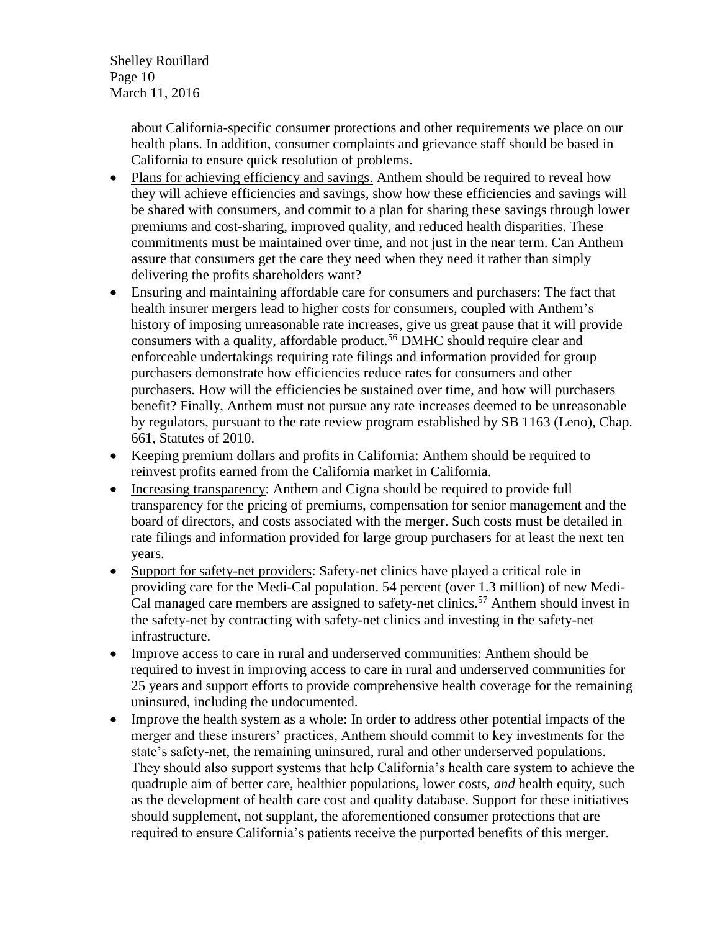Shelley Rouillard Page 10 March 11, 2016

> about California-specific consumer protections and other requirements we place on our health plans. In addition, consumer complaints and grievance staff should be based in California to ensure quick resolution of problems.

- Plans for achieving efficiency and savings. Anthem should be required to reveal how they will achieve efficiencies and savings, show how these efficiencies and savings will be shared with consumers, and commit to a plan for sharing these savings through lower premiums and cost-sharing, improved quality, and reduced health disparities. These commitments must be maintained over time, and not just in the near term. Can Anthem assure that consumers get the care they need when they need it rather than simply delivering the profits shareholders want?
- Ensuring and maintaining affordable care for consumers and purchasers: The fact that health insurer mergers lead to higher costs for consumers, coupled with Anthem's history of imposing unreasonable rate increases, give us great pause that it will provide consumers with a quality, affordable product.<sup>56</sup> DMHC should require clear and enforceable undertakings requiring rate filings and information provided for group purchasers demonstrate how efficiencies reduce rates for consumers and other purchasers. How will the efficiencies be sustained over time, and how will purchasers benefit? Finally, Anthem must not pursue any rate increases deemed to be unreasonable by regulators, pursuant to the rate review program established by SB 1163 (Leno), Chap. 661, Statutes of 2010.
- Keeping premium dollars and profits in California: Anthem should be required to reinvest profits earned from the California market in California.
- Increasing transparency: Anthem and Cigna should be required to provide full transparency for the pricing of premiums, compensation for senior management and the board of directors, and costs associated with the merger. Such costs must be detailed in rate filings and information provided for large group purchasers for at least the next ten years.
- Support for safety-net providers: Safety-net clinics have played a critical role in providing care for the Medi-Cal population. 54 percent (over 1.3 million) of new Medi-Cal managed care members are assigned to safety-net clinics.<sup>57</sup> Anthem should invest in the safety-net by contracting with safety-net clinics and investing in the safety-net infrastructure.
- Improve access to care in rural and underserved communities: Anthem should be required to invest in improving access to care in rural and underserved communities for 25 years and support efforts to provide comprehensive health coverage for the remaining uninsured, including the undocumented.
- Improve the health system as a whole: In order to address other potential impacts of the merger and these insurers' practices, Anthem should commit to key investments for the state's safety-net, the remaining uninsured, rural and other underserved populations. They should also support systems that help California's health care system to achieve the quadruple aim of better care, healthier populations, lower costs, *and* health equity, such as the development of health care cost and quality database. Support for these initiatives should supplement, not supplant, the aforementioned consumer protections that are required to ensure California's patients receive the purported benefits of this merger.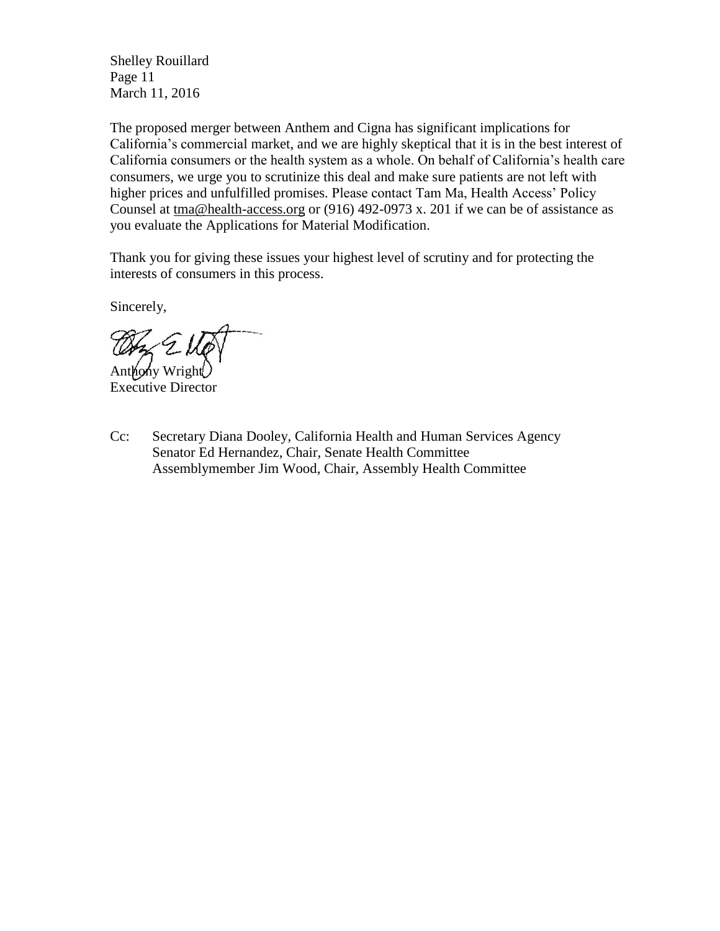Shelley Rouillard Page 11 March 11, 2016

The proposed merger between Anthem and Cigna has significant implications for California's commercial market, and we are highly skeptical that it is in the best interest of California consumers or the health system as a whole. On behalf of California's health care consumers, we urge you to scrutinize this deal and make sure patients are not left with higher prices and unfulfilled promises. Please contact Tam Ma, Health Access' Policy Counsel at [tma@health-access.org](mailto:tma@health-access.org) or (916) 492-0973 x. 201 if we can be of assistance as you evaluate the Applications for Material Modification.

Thank you for giving these issues your highest level of scrutiny and for protecting the interests of consumers in this process.

Sincerely,

Anthony Wright

Executive Director

Cc: Secretary Diana Dooley, California Health and Human Services Agency Senator Ed Hernandez, Chair, Senate Health Committee Assemblymember Jim Wood, Chair, Assembly Health Committee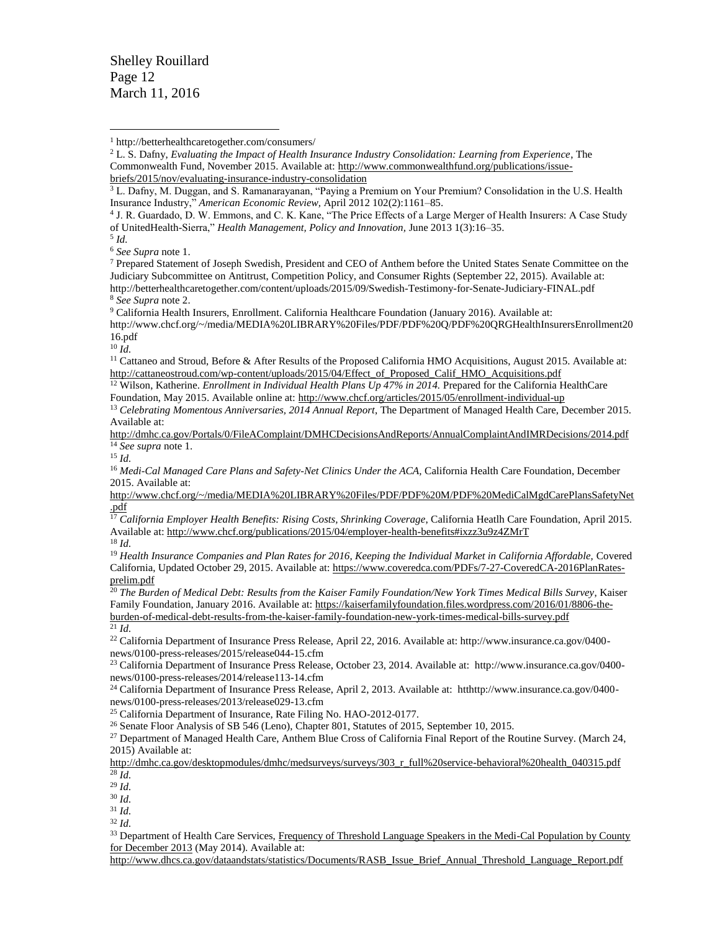Shelley Rouillard Page 12 March 11, 2016

 $\overline{a}$ 

<sup>6</sup> *See Supra* note 1.

<sup>7</sup> Prepared Statement of Joseph Swedish, President and CEO of Anthem before the United States Senate Committee on the Judiciary Subcommittee on Antitrust, Competition Policy, and Consumer Rights (September 22, 2015). Available at: http://betterhealthcaretogether.com/content/uploads/2015/09/Swedish-Testimony-for-Senate-Judiciary-FINAL.pdf <sup>8</sup> *See Supra* note 2.

<sup>9</sup> California Health Insurers, Enrollment. California Healthcare Foundation (January 2016). Available at:

http://www.chcf.org/~/media/MEDIA%20LIBRARY%20Files/PDF/PDF%20Q/PDF%20QRGHealthInsurersEnrollment20 16.pdf

<sup>10</sup> *Id.*

<sup>12</sup> Wilson, Katherine. *Enrollment in Individual Health Plans Up 47% in 2014.* Prepared for the California HealthCare Foundation, May 2015. Available online at[: http://www.chcf.org/articles/2015/05/enrollment-individual-up](http://www.chcf.org/articles/2015/05/enrollment-individual-up)

<sup>13</sup> *Celebrating Momentous Anniversaries, 2014 Annual Report*, The Department of Managed Health Care, December 2015. Available at:

<http://dmhc.ca.gov/Portals/0/FileAComplaint/DMHCDecisionsAndReports/AnnualComplaintAndIMRDecisions/2014.pdf> <sup>14</sup> *See supra* note 1.

<sup>15</sup> *Id.*

<sup>16</sup> Medi-Cal Managed Care Plans and Safety-Net Clinics Under the ACA, California Health Care Foundation, December 2015. Available at:

[http://www.chcf.org/~/media/MEDIA%20LIBRARY%20Files/PDF/PDF%20M/PDF%20MediCalMgdCarePlansSafetyNet](http://www.chcf.org/~/media/MEDIA%20LIBRARY%20Files/PDF/PDF%20M/PDF%20MediCalMgdCarePlansSafetyNet.pdf) [.pdf](http://www.chcf.org/~/media/MEDIA%20LIBRARY%20Files/PDF/PDF%20M/PDF%20MediCalMgdCarePlansSafetyNet.pdf)

<sup>17</sup> California Employer Health Benefits: Rising Costs, Shrinking Coverage, California Heatlh Care Foundation, April 2015. Available at:<http://www.chcf.org/publications/2015/04/employer-health-benefits#ixzz3u9z4ZMrT>

<sup>18</sup> *Id.* 

<sup>19</sup> Health Insurance Companies and Plan Rates for 2016, Keeping the Individual Market in California Affordable, Covered California, Updated October 29, 2015. Available at: [https://www.coveredca.com/PDFs/7-27-CoveredCA-2016PlanRates](https://www.coveredca.com/PDFs/7-27-CoveredCA-2016PlanRates-prelim.pdf)[prelim.pdf](https://www.coveredca.com/PDFs/7-27-CoveredCA-2016PlanRates-prelim.pdf)

<sup>20</sup> *The Burden of Medical Debt: Results from the Kaiser Family Foundation/New York Times Medical Bills Survey*, Kaiser Family Foundation, January 2016. Available at: [https://kaiserfamilyfoundation.files.wordpress.com/2016/01/8806-the](https://kaiserfamilyfoundation.files.wordpress.com/2016/01/8806-the-burden-of-medical-debt-results-from-the-kaiser-family-foundation-new-york-times-medical-bills-survey.pdf)[burden-of-medical-debt-results-from-the-kaiser-family-foundation-new-york-times-medical-bills-survey.pdf](https://kaiserfamilyfoundation.files.wordpress.com/2016/01/8806-the-burden-of-medical-debt-results-from-the-kaiser-family-foundation-new-york-times-medical-bills-survey.pdf)  $^{21}$  *Id.* 

<sup>22</sup> California Department of Insurance Press Release, April 22, 2016. Available at: http://www.insurance.ca.gov/0400 news/0100-press-releases/2015/release044-15.cfm

<sup>23</sup> California Department of Insurance Press Release, October 23, 2014. Available at: http://www.insurance.ca.gov/0400 news/0100-press-releases/2014/release113-14.cfm

<sup>24</sup> California Department of Insurance Press Release, April 2, 2013. Available at: htthttp://www.insurance.ca.gov/0400news/0100-press-releases/2013/release029-13.cfm

<sup>25</sup> California Department of Insurance, Rate Filing No. HAO-2012-0177.

<sup>26</sup> Senate Floor Analysis of SB 546 (Leno), Chapter 801, Statutes of 2015, September 10, 2015.

<sup>27</sup> Department of Managed Health Care, Anthem Blue Cross of California Final Report of the Routine Survey. (March 24, 2015) Available at:

[http://dmhc.ca.gov/desktopmodules/dmhc/medsurveys/surveys/303\\_r\\_full%20service-behavioral%20health\\_040315.pdf](http://dmhc.ca.gov/desktopmodules/dmhc/medsurveys/surveys/303_r_full%20service-behavioral%20health_040315.pdf)  $\overline{28}$  *Id.* 

<sup>29</sup> *Id.*

<sup>30</sup> *Id.*

<sup>31</sup> *Id.*

<sup>32</sup> *Id.*

<sup>33</sup> Department of Health Care Services, Frequency of Threshold Language Speakers in the Medi-Cal Population by County [for December 2013](http://www.dhcs.ca.gov/dataandstats/statistics/Documents/RASB_Issue_Brief_Annual_Threshold_Language_Report.pdf) (May 2014). Available at:

[http://www.dhcs.ca.gov/dataandstats/statistics/Documents/RASB\\_Issue\\_Brief\\_Annual\\_Threshold\\_Language\\_Report.pdf](http://www.dhcs.ca.gov/dataandstats/statistics/Documents/RASB_Issue_Brief_Annual_Threshold_Language_Report.pdf)

<sup>1</sup> http://betterhealthcaretogether.com/consumers/

<sup>2</sup> L. S. Dafny, *Evaluating the Impact of Health Insurance Industry Consolidation: Learning from Experience*, The Commonwealth Fund, November 2015. Available at[: http://www.commonwealthfund.org/publications/issue](http://www.commonwealthfund.org/publications/issue-briefs/2015/nov/evaluating-insurance-industry-consolidation)[briefs/2015/nov/evaluating-insurance-industry-consolidation](http://www.commonwealthfund.org/publications/issue-briefs/2015/nov/evaluating-insurance-industry-consolidation)

<sup>3</sup> L. Dafny, M. Duggan, and S. Ramanarayanan, "Paying a Premium on Your Premium? Consolidation in the U.S. Health Insurance Industry," *American Economic Review,* April 2012 102(2):1161–85.

<sup>4</sup> J. R. Guardado, D. W. Emmons, and C. K. Kane, "The Price Effects of a Large Merger of Health Insurers: A Case Study of UnitedHealth-Sierra," *Health Management, Policy and Innovation,* June 2013 1(3):16–35.

<sup>5</sup> *Id.*

<sup>&</sup>lt;sup>11</sup> Cattaneo and Stroud, Before & After Results of the Proposed California HMO Acquisitions, August 2015. Available at: [http://cattaneostroud.com/wp-content/uploads/2015/04/Effect\\_of\\_Proposed\\_Calif\\_HMO\\_Acquisitions.pdf](http://cattaneostroud.com/wp-content/uploads/2015/04/Effect_of_Proposed_Calif_HMO_Acquisitions.pdf)